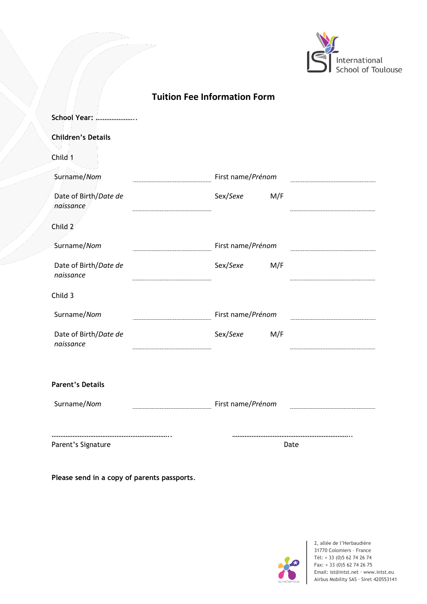

|  | <b>Tuition Fee Information Form</b> |  |
|--|-------------------------------------|--|
|--|-------------------------------------|--|

| <b>School Year: </b>               |                   |  |
|------------------------------------|-------------------|--|
| <b>Children's Details</b>          |                   |  |
| Child 1                            |                   |  |
| Surname/Nom                        | First name/Prénom |  |
| Date of Birth/Date de<br>naissance | Sex/Sexe<br>M/F   |  |
| Child 2                            |                   |  |
| Surname/Nom                        | First name/Prénom |  |
| Date of Birth/Date de<br>naissance | Sex/Sexe<br>M/F   |  |
| Child 3                            |                   |  |
| Surname/Nom                        | First name/Prénom |  |
| Date of Birth/Date de<br>naissance | Sex/Sexe<br>M/F   |  |
| <b>Parent's Details</b>            |                   |  |
| Surname/Nom                        | First name/Prénom |  |
| Parent's Signature                 | Date              |  |

**Please send in a copy of parents passports**.